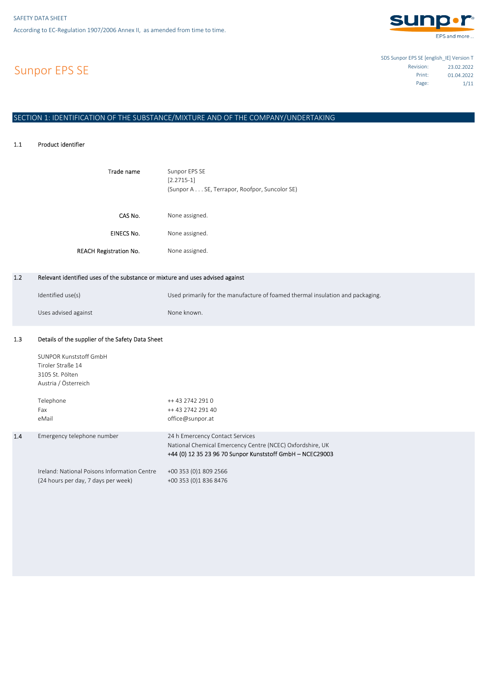

# Sunpor EPS SE

SDS Sunpor EPS SE [english\_IE] Version T 23.02.2022 01.04.2022 Page: 1/11 Revision: Print:

## SECTION 1: IDENTIFICATION OF THE SUBSTANCE/MIXTURE AND OF THE COMPANY/UNDERTAKING

#### 1.1 Product identifier

1.2

1.4

| Trade name                                                                    | Sunpor EPS SE<br>$[2.2715-1]$                                                  |
|-------------------------------------------------------------------------------|--------------------------------------------------------------------------------|
|                                                                               | (Sunpor A SE, Terrapor, Roofpor, Suncolor SE)                                  |
|                                                                               |                                                                                |
| CAS No.                                                                       | None assigned.                                                                 |
|                                                                               |                                                                                |
| <b>EINECS No.</b>                                                             | None assigned.                                                                 |
| <b>REACH Registration No.</b>                                                 | None assigned.                                                                 |
|                                                                               |                                                                                |
| Relevant identified uses of the substance or mixture and uses advised against |                                                                                |
| Identified use(s)                                                             | Used primarily for the manufacture of foamed thermal insulation and packaging. |
|                                                                               |                                                                                |
| Uses advised against                                                          | None known.                                                                    |
| _ . _ _ _ _ . _ . _ .                                                         |                                                                                |

#### 1.3 Details of the supplier of the Safety Data Sheet

| SUNPOR Kunststoff GmbH<br>Tiroler Straße 14<br>3105 St. Pölten<br>Austria / Österreich<br>Telephone<br>Fax<br>eMail | ++43 2742 2910<br>++ 43 2742 291 40<br>office@sunpor.at                                                                                                   |
|---------------------------------------------------------------------------------------------------------------------|-----------------------------------------------------------------------------------------------------------------------------------------------------------|
| Emergency telephone number                                                                                          | 24 h Emercency Contact Services<br>National Chemical Emercency Centre (NCEC) Oxfordshire, UK<br>+44 (0) 12 35 23 96 70 Sunpor Kunststoff GmbH - NCEC29003 |
| Ireland: National Poisons Information Centre<br>(24 hours per day, 7 days per week)                                 | +00 353 (0)1 809 2566<br>+00 353 (0)1 836 8476                                                                                                            |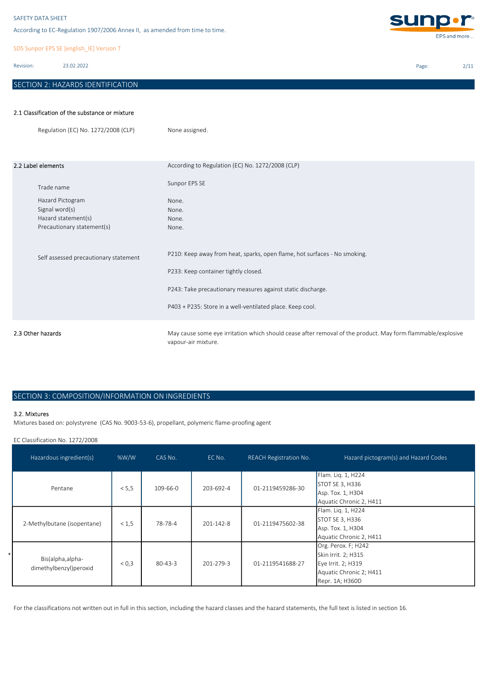According to EC-Regulation 1907/2006 Annex II, as amended from time to time.

SDS Sunpor EPS SE [english\_IE] Version T

Revision: 23.02.2022

## SECTION 2: HAZARDS IDENTIFICATION



Page: 2/11

## 2.1 Classification of the substance or mixture

| Regulation (EC) No. 1272/2008 (CLP)   | None assigned.                                                                                                                                                                                                                                |
|---------------------------------------|-----------------------------------------------------------------------------------------------------------------------------------------------------------------------------------------------------------------------------------------------|
| 2.2 Label elements                    | According to Regulation (EC) No. 1272/2008 (CLP)                                                                                                                                                                                              |
| Trade name                            | Sunpor EPS SE                                                                                                                                                                                                                                 |
| Hazard Pictogram                      | None.                                                                                                                                                                                                                                         |
| Signal word(s)                        | None.                                                                                                                                                                                                                                         |
| Hazard statement(s)                   | None.                                                                                                                                                                                                                                         |
| Precautionary statement(s)            | None.                                                                                                                                                                                                                                         |
| Self assessed precautionary statement | P210: Keep away from heat, sparks, open flame, hot surfaces - No smoking.<br>P233: Keep container tightly closed.<br>P243: Take precautionary measures against static discharge.<br>P403 + P235: Store in a well-ventilated place. Keep cool. |
| 2.3 Other hazards                     | May cause some eye irritation which should cease after removal of the product. May form flammable/explosive<br>vapour-air mixture.                                                                                                            |

## SECTION 3: COMPOSITION/INFORMATION ON INGREDIENTS

### 3.2. Mixtures

Mixtures based on: polystyrene (CAS No. 9003-53-6), propellant, polymeric flame-proofing agent

EC Classification No. 1272/2008

| Hazardous ingredient(s)                     | %W/W  | CAS No.        | EC No.          | <b>REACH Registration No.</b> | Hazard pictogram(s) and Hazard Codes                                                                           |
|---------------------------------------------|-------|----------------|-----------------|-------------------------------|----------------------------------------------------------------------------------------------------------------|
| Pentane                                     | < 5.5 | $109 - 66 - 0$ | 203-692-4       | 01-2119459286-30              | Flam. Lig. 1, H224<br>STOT SE 3, H336<br>Asp. Tox. 1, H304<br>Aquatic Chronic 2, H411                          |
| 2-Methylbutane (isopentane)                 | < 1.5 | 78-78-4        | $201 - 142 - 8$ | 01-2119475602-38              | Flam. Lig. 1, H224<br>STOT SE 3, H336<br>Asp. Tox. 1, H304<br>Aquatic Chronic 2, H411                          |
| Bis(alpha, alpha-<br>dimethylbenzyl)peroxid | < 0.3 | $80 - 43 - 3$  | $201 - 279 - 3$ | 01-2119541688-27              | Org. Perox. F; H242<br>Skin Irrit. 2; H315<br>Eye Irrit. 2; H319<br>Aquatic Chronic 2; H411<br>Repr. 1A; H360D |

For the classifications not written out in full in this section, including the hazard classes and the hazard statements, the full text is listed in section 16.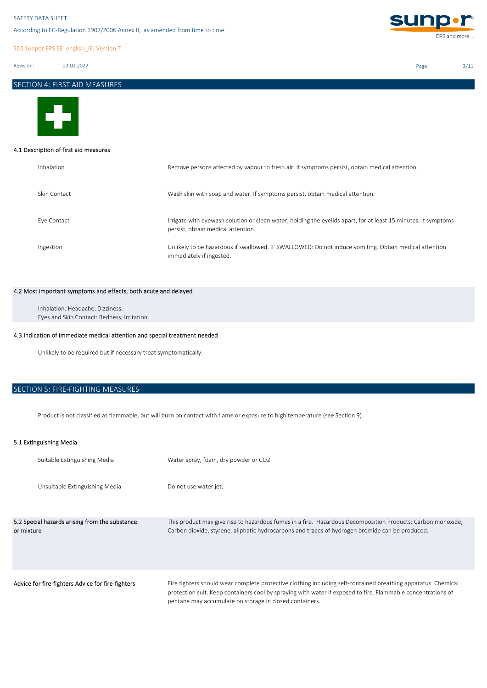According to EC-Regulation 1907/2006 Annex II, as amended from time to time.

SDS Sunpor EPS SE [english\_IE] Version T

Revision: 23.02.2022

## SECTION 4: FIRST AID MEASURES



### 4.1 Description of first aid measures

| Inhalation   | Remove persons affected by vapour to fresh air. If symptoms persist, obtain medical attention.                                                       |
|--------------|------------------------------------------------------------------------------------------------------------------------------------------------------|
| Skin Contact | Wash skin with soap and water. If symptoms persist, obtain medical attention.                                                                        |
| Eye Contact  | Irrigate with eyewash solution or clean water, holding the eyelids apart, for at least 15 minutes. If symptoms<br>persist, obtain medical attention. |
| Ingestion    | Unlikely to be hazardous if swallowed. IF SWALLOWED: Do not induce vomiting. Obtain medical attention<br>immediately if ingested.                    |

## 4.2 Most important symptoms and effects, both acute and delayed

Eyes and Skin Contact: Redness, Irritation. Inhalation: Headache, Dizziness.

## 4.3 Indication of immediate medical attention and special treatment needed

Unlikely to be required but if necessary treat symptomatically.

## SECTION 5: FIRE-FIGHTING MEASURES

Product is not classified as flammable, but will burn on contact with flame or exposure to high temperature (see Section 9).

## 5.1 Extinguishing Media

| Suitable Extinguishing Media                                 | Water spray, foam, dry powder or CO2.                                                                                                                                                                                                                                                    |
|--------------------------------------------------------------|------------------------------------------------------------------------------------------------------------------------------------------------------------------------------------------------------------------------------------------------------------------------------------------|
| Unsuitable Extinguishing Media                               | Do not use water jet.                                                                                                                                                                                                                                                                    |
| 5.2 Special hazards arising from the substance<br>or mixture | This product may give rise to hazardous fumes in a fire. Hazardous Decomposition Products: Carbon monoxide,<br>Carbon dioxide, styrene, aliphatic hydrocarbons and traces of hydrogen bromide can be produced.                                                                           |
| Advice for fire-fighters Advice for fire-fighters            | Fire fighters should wear complete protective clothing including self-contained breathing apparatus. Chemical<br>protection suit. Keep containers cool by spraying with water if exposed to fire. Flammable concentrations of<br>pentane may accumulate on storage in closed containers. |



Page: 3/11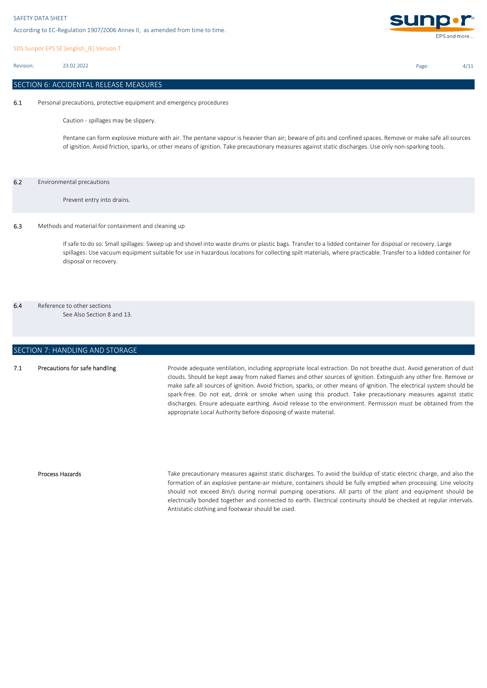SDS Sunpor EPS SE [english\_IE] Version T

Revision: 23.02.2022

## SECTION 6: ACCIDENTAL RELEASE MEASURES

6.1 Personal precautions, protective equipment and emergency procedures

Caution - spillages may be slippery.

Pentane can form explosive mixture with air. The pentane vapour is heavier than air; beware of pits and confined spaces. Remove or make safe all sources of ignition. Avoid friction, sparks, or other means of ignition. Take precautionary measures against static discharges. Use only non-sparking tools.

### 6.2 Environmental precautions

Prevent entry into drains.

### 6.3 Methods and material for containment and cleaning up

If safe to do so: Small spillages: Sweep up and shovel into waste drums or plastic bags. Transfer to a lidded container for disposal or recovery. Large spillages: Use vacuum equipment suitable for use in hazardous locations for collecting spilt materials, where practicable. Transfer to a lidded container for disposal or recovery.

## 6.4 Reference to other sections

See Also Section 8 and 13.

## SECTION 7: HANDLING AND STORAGE

#### 7.1 Precautions for safe handling

Provide adequate ventilation, including appropriate local extraction. Do not breathe dust. Avoid generation of dust clouds. Should be kept away from naked flames and other sources of ignition. Extinguish any other fire. Remove or make safe all sources of ignition. Avoid friction, sparks, or other means of ignition. The electrical system should be spark-free. Do not eat, drink or smoke when using this product. Take precautionary measures against static discharges. Ensure adequate earthing. Avoid release to the environment. Permission must be obtained from the appropriate Local Authority before disposing of waste material.

### Process Hazards

Take precautionary measures against static discharges. To avoid the buildup of static electric charge, and also the formation of an explosive pentane-air mixture, containers should be fully emptied when processing. Line velocity should not exceed 8m/s during normal pumping operations. All parts of the plant and equipment should be electrically bonded together and connected to earth. Electrical continuity should be checked at regular intervals. Antistatic clothing and footwear should be used.



Page: 4/11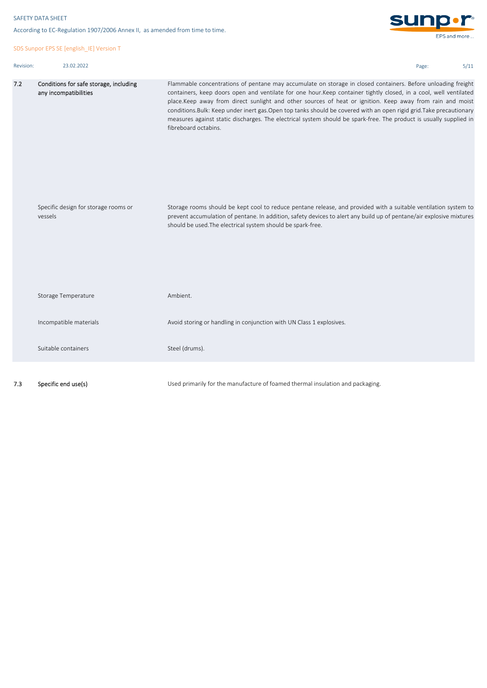According to EC-Regulation 1907/2006 Annex II, as amended from time to time.

SDS Sunpor EPS SE [english\_IE] Version T

```
Revision: 23.02.2022
```


| Page: | 5/11 |
|-------|------|
|-------|------|

| 7.2 | Conditions for safe storage, including<br>any incompatibilities | Flammable concentrations of pentane may accumulate on storage in closed containers. Before unloading freight<br>containers, keep doors open and ventilate for one hour.Keep container tightly closed, in a cool, well ventilated<br>place.Keep away from direct sunlight and other sources of heat or ignition. Keep away from rain and moist<br>conditions. Bulk: Keep under inert gas. Open top tanks should be covered with an open rigid grid. Take precautionary<br>measures against static discharges. The electrical system should be spark-free. The product is usually supplied in<br>fibreboard octabins. |
|-----|-----------------------------------------------------------------|---------------------------------------------------------------------------------------------------------------------------------------------------------------------------------------------------------------------------------------------------------------------------------------------------------------------------------------------------------------------------------------------------------------------------------------------------------------------------------------------------------------------------------------------------------------------------------------------------------------------|
|     | Specific design for storage rooms or<br>vessels                 | Storage rooms should be kept cool to reduce pentane release, and provided with a suitable ventilation system to<br>prevent accumulation of pentane. In addition, safety devices to alert any build up of pentane/air explosive mixtures<br>should be used. The electrical system should be spark-free.                                                                                                                                                                                                                                                                                                              |
|     | Storage Temperature                                             | Ambient.                                                                                                                                                                                                                                                                                                                                                                                                                                                                                                                                                                                                            |
|     | Incompatible materials                                          | Avoid storing or handling in conjunction with UN Class 1 explosives.                                                                                                                                                                                                                                                                                                                                                                                                                                                                                                                                                |
|     | Suitable containers                                             | Steel (drums).                                                                                                                                                                                                                                                                                                                                                                                                                                                                                                                                                                                                      |
|     |                                                                 | the contract of the contract of the contract of the contract of the contract of the contract of                                                                                                                                                                                                                                                                                                                                                                                                                                                                                                                     |

7.3 Specific end use(s)

Used primarily for the manufacture of foamed thermal insulation and packaging.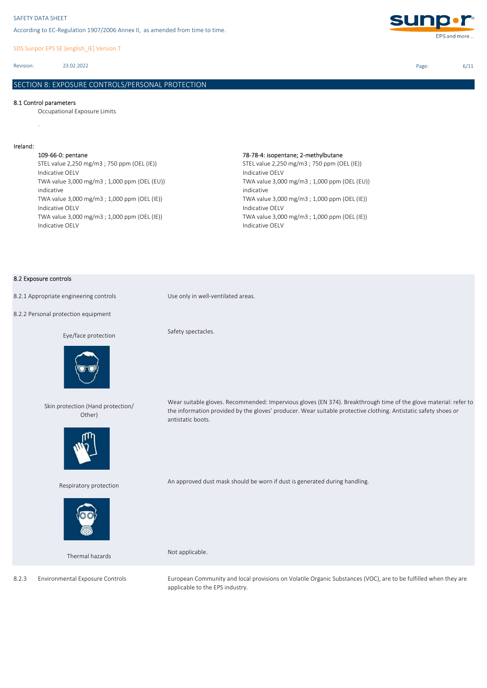SDS Sunpor EPS SE [english\_IE] Version T

Revision: 23.02.2022

## SECTION 8: EXPOSURE CONTROLS/PERSONAL PROTECTION

### 8.1 Control parameters

.

Occupational Exposure Limits

### Ireland:

STEL value 2,250 mg/m3 ; 750 ppm (OEL (IE)) Indicative OELV TWA value 3,000 mg/m3 ; 1,000 ppm (OEL (EU)) indicative TWA value 3,000 mg/m3 ; 1,000 ppm (OEL (IE)) Indicative OELV TWA value 3,000 mg/m3 ; 1,000 ppm (OEL (IE)) Indicative OELV

## 109-66-0: pentane 78-78-4: isopentane; 2-methylbutane

STEL value 2,250 mg/m3 ; 750 ppm (OEL (IE)) Indicative OELV TWA value 3,000 mg/m3 ; 1,000 ppm (OEL (EU)) indicative TWA value 3,000 mg/m3 ; 1,000 ppm (OEL (IE)) Indicative OELV TWA value 3,000 mg/m3 ; 1,000 ppm (OEL (IE)) Indicative OELV

### 8.2 Exposure controls

8.2.1 Appropriate engineering controls Use only in well-ventilated areas.

8.2.2 Personal protection equipment

### Eye/face protection



Skin protection (Hand protection/ Other)



Respiratory protection



Thermal hazards

8.2.3 Environmental Exposure Controls

Safety spectacles.

Wear suitable gloves. Recommended: Impervious gloves (EN 374). Breakthrough time of the glove material: refer to the information provided by the gloves' producer. Wear suitable protective clothing. Antistatic safety shoes or antistatic boots.

An approved dust mask should be worn if dust is generated during handling.

Not applicable.

European Community and local provisions on Volatile Organic Substances (VOC), are to be fulfilled when they are applicable to the EPS industry.



Page: 6/11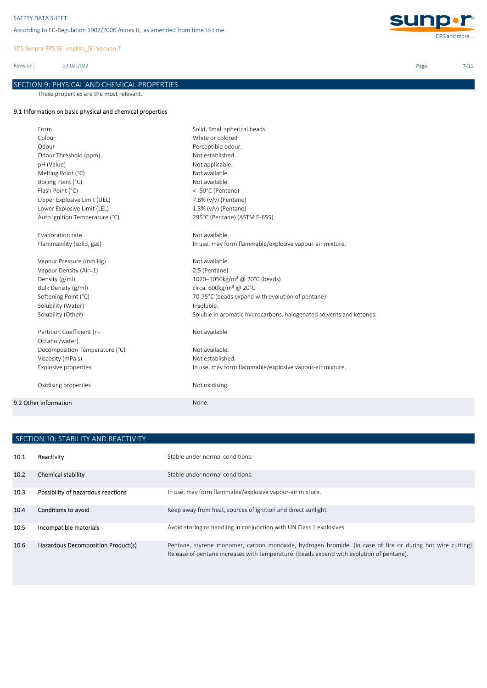SDS Sunpor EPS SE [english\_IE] Version T

Revision: 23.02.2022

## SECTION 9: PHYSICAL AND CHEMICAL PROPERTIES

These properties are the most relevant.

## 9.1 Information on basic physical and chemical properties

| Form                           | Solid, Small spherical beads.                                       |
|--------------------------------|---------------------------------------------------------------------|
| Colour                         | White or colored                                                    |
| Odour                          | Perceptible odour.                                                  |
| Odour Threshold (ppm)          | Not established.                                                    |
| pH (Value)                     | Not applicable.                                                     |
| Melting Point (°C)             | Not available.                                                      |
| Boiling Point (°C)             | Not available.                                                      |
| Flash Point (°C)               | <-50°C (Pentane)                                                    |
| Upper Explosive Limit (UEL)    | 7.8% (v/v) (Pentane)                                                |
| Lower Explosive Limit (LEL)    | 1.3% (v/v) (Pentane)                                                |
| Auto Ignition Temperature (°C) | 285°C (Pentane) (ASTM E-659)                                        |
| Evaporation rate               | Not available.                                                      |
| Flammability (solid, gas)      | In use, may form flammable/explosive vapour-air mixture.            |
| Vapour Pressure (mm Hg)        | Not available.                                                      |
| Vapour Density (Air=1)         | 2.5 (Pentane)                                                       |
| Density (g/ml)                 | 1020-1050kg/m <sup>3</sup> @ 20°C (beads)                           |
| Bulk Density (g/ml)            | circa. 600kg/m <sup>3</sup> @ 20°C                                  |
| Softening Point (°C)           | 70-75°C (beads expand with evolution of pentane)                    |
| Solubility (Water)             | Insoluble.                                                          |
| Solubility (Other)             | Soluble in aromatic hydrocarbons, halogenated solvents and ketones. |
| Partition Coefficient (n-      | Not available.                                                      |
| Octanol/water)                 |                                                                     |
| Decomposition Temperature (°C) | Not available.                                                      |
| Viscosity (mPa.s)              | Not established.                                                    |
| Explosive properties           | In use, may form flammable/explosive vapour-air mixture.            |
| Oxidising properties           | Not oxidising.                                                      |
| 9.2 Other information          | None.                                                               |
|                                |                                                                     |

| SECTION 10: STABILITY AND REACTIVITY |                                    |                                                                                                                                                                                                        |  |  |
|--------------------------------------|------------------------------------|--------------------------------------------------------------------------------------------------------------------------------------------------------------------------------------------------------|--|--|
| 10.1                                 | Reactivity                         | Stable under normal conditions.                                                                                                                                                                        |  |  |
| 10.2                                 | Chemical stability                 | Stable under normal conditions.                                                                                                                                                                        |  |  |
| 10.3                                 | Possibility of hazardous reactions | In use, may form flammable/explosive vapour-air mixture.                                                                                                                                               |  |  |
| 10.4                                 | Conditions to avoid                | Keep away from heat, sources of ignition and direct sunlight.                                                                                                                                          |  |  |
| 10.5                                 | Incompatible materials             | Avoid storing or handling in conjunction with UN Class 1 explosives.                                                                                                                                   |  |  |
| 10.6                                 | Hazardous Decomposition Product(s) | Pentane, styrene monomer, carbon monoxide, hydrogen bromide. (in case of fire or during hot wire cutting).<br>Release of pentane increases with temperature. (beads expand with evolution of pentane). |  |  |



Page: 7/11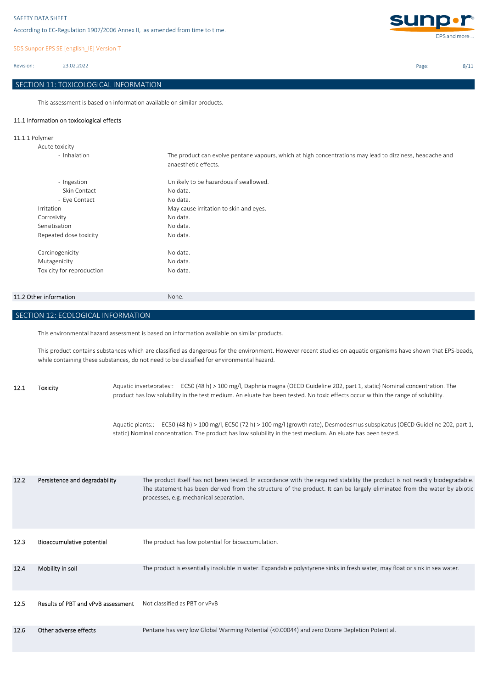SDS Sunpor EPS SE [english\_IE] Version T

Revision: 23.02.2022

## SECTION 11: TOXICOLOGICAL INFORMATION

This assessment is based on information available on similar products.

## 11.1 Information on toxicological effects

11.1.1 Polymer

| The product can evolve pentane vapours, which at high concentrations may lead to dizziness, headache and |
|----------------------------------------------------------------------------------------------------------|
|                                                                                                          |
|                                                                                                          |
|                                                                                                          |
|                                                                                                          |
|                                                                                                          |
|                                                                                                          |
|                                                                                                          |
|                                                                                                          |
|                                                                                                          |
|                                                                                                          |
|                                                                                                          |

## 11.2 Other information None.

## SECTION 12: ECOLOGICAL INFORMATION

This environmental hazard assessment is based on information available on similar products.

This product contains substances which are classified as dangerous for the environment. However recent studies on aquatic organisms have shown that EPS-beads, while containing these substances, do not need to be classified for environmental hazard.

12.1 Toxicity Aquatic invertebrates:: EC50 (48 h) > 100 mg/l, Daphnia magna (OECD Guideline 202, part 1, static) Nominal concentration. The product has low solubility in the test medium. An eluate has been tested. No toxic effects occur within the range of solubility.

> Aquatic plants:: EC50 (48 h) > 100 mg/l, EC50 (72 h) > 100 mg/l (growth rate), Desmodesmus subspicatus (OECD Guideline 202, part 1, static) Nominal concentration. The product has low solubility in the test medium. An eluate has been tested.

| 12.2 | Persistence and degradability                                           | The product itself has not been tested. In accordance with the required stability the product is not readily biodegradable.<br>The statement has been derived from the structure of the product. It can be largely eliminated from the water by abiotic<br>processes, e.g. mechanical separation. |
|------|-------------------------------------------------------------------------|---------------------------------------------------------------------------------------------------------------------------------------------------------------------------------------------------------------------------------------------------------------------------------------------------|
| 12.3 | Bioaccumulative potential                                               | The product has low potential for bioaccumulation.                                                                                                                                                                                                                                                |
| 12.4 | Mobility in soil                                                        | The product is essentially insoluble in water. Expandable polystyrene sinks in fresh water, may float or sink in sea water.                                                                                                                                                                       |
| 12.5 | <b>Results of PBT and vPvB assessment</b> Not classified as PBT or vPvB |                                                                                                                                                                                                                                                                                                   |
| 12.6 | Other adverse effects                                                   | Pentane has very low Global Warming Potential (<0.00044) and zero Ozone Depletion Potential.                                                                                                                                                                                                      |



Page: 8/11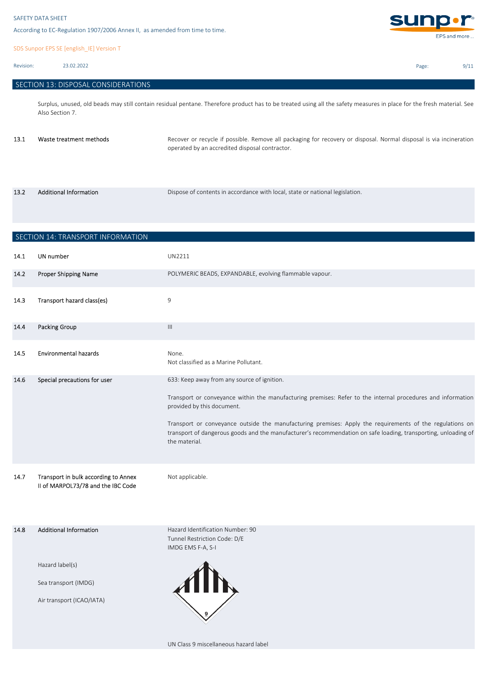SDS Sunpor EPS SE [english\_IE] Version T

Revision: 23.02.2022

13.2

Surplus, unused, old beads may still contain residual pentane. Therefore product has to be treated using all the safety measures in place for the fresh material. See Also Section 7.

| 13.1 | Waste treatment methods | Recover or recycle if possible. Remove all packaging for recovery or disposal. Normal disposal is via incineration<br>operated by an accredited disposal contractor. |
|------|-------------------------|----------------------------------------------------------------------------------------------------------------------------------------------------------------------|
|      |                         |                                                                                                                                                                      |

Additional Information **Dispose of contents in accordance with local**, state or national legislation.

|      | SECTION 14: TRANSPORT INFORMATION                                          |                                                                                                                                                                                                                                                                                                                                                                                                                                         |
|------|----------------------------------------------------------------------------|-----------------------------------------------------------------------------------------------------------------------------------------------------------------------------------------------------------------------------------------------------------------------------------------------------------------------------------------------------------------------------------------------------------------------------------------|
| 14.1 | UN number                                                                  | UN2211                                                                                                                                                                                                                                                                                                                                                                                                                                  |
| 14.2 | Proper Shipping Name                                                       | POLYMERIC BEADS, EXPANDABLE, evolving flammable vapour.                                                                                                                                                                                                                                                                                                                                                                                 |
| 14.3 | Transport hazard class(es)                                                 | 9                                                                                                                                                                                                                                                                                                                                                                                                                                       |
| 14.4 | <b>Packing Group</b>                                                       | $\ensuremath{\mathsf{III}}\xspace$                                                                                                                                                                                                                                                                                                                                                                                                      |
| 14.5 | <b>Environmental hazards</b>                                               | None.<br>Not classified as a Marine Pollutant.                                                                                                                                                                                                                                                                                                                                                                                          |
| 14.6 | Special precautions for user                                               | 633: Keep away from any source of ignition.<br>Transport or conveyance within the manufacturing premises: Refer to the internal procedures and information<br>provided by this document.<br>Transport or conveyance outside the manufacturing premises: Apply the requirements of the regulations on<br>transport of dangerous goods and the manufacturer's recommendation on safe loading, transporting, unloading of<br>the material. |
| 14.7 | Transport in bulk according to Annex<br>II of MARPOL73/78 and the IBC Code | Not applicable.                                                                                                                                                                                                                                                                                                                                                                                                                         |
| 14.8 | <b>Additional Information</b>                                              | Hazard Identification Number: 90<br>Tunnel Restriction Code: D/E<br>IMDG EMS F-A, S-I                                                                                                                                                                                                                                                                                                                                                   |
|      | Hazard label(s)<br>Sea transport (IMDG)<br>Air transport (ICAO/IATA)       |                                                                                                                                                                                                                                                                                                                                                                                                                                         |

UN Class 9 miscellaneous hazard label



Page: 9/11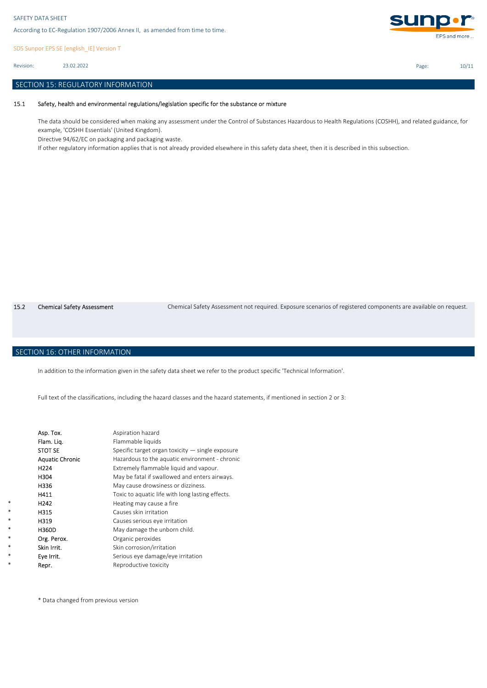SDS Sunpor EPS SE [english\_IE] Version T

23.02.2022 Revision:

### SECTION 15: REGULATORY INFORMATION

#### 15.1 Safety, health and environmental regulations/legislation specific for the substance or mixture

The data should be considered when making any assessment under the Control of Substances Hazardous to Health Regulations (COSHH), and related guidance, for example, 'COSHH Essentials' (United Kingdom).

Directive 94/62/EC on packaging and packaging waste.

If other regulatory information applies that is not already provided elsewhere in this safety data sheet, then it is described in this subsection.

15.2 Chemical Safety Assessment Chemical Safety Assessment not required. Exposure scenarios of registered components are available on request.

## SECTION 16: OTHER INFORMATION

\* \* \* \* \* \* \* \* In addition to the information given in the safety data sheet we refer to the product specific 'Technical Information'.

Full text of the classifications, including the hazard classes and the hazard statements, if mentioned in section 2 or 3:

| Asp. Tox.              | Aspiration hazard                                  |
|------------------------|----------------------------------------------------|
| Flam. Lig.             | Flammable liquids                                  |
| <b>STOT SE</b>         | Specific target organ toxicity $-$ single exposure |
| <b>Aquatic Chronic</b> | Hazardous to the aquatic environment - chronic     |
| H224                   | Extremely flammable liquid and vapour.             |
| H304                   | May be fatal if swallowed and enters airways.      |
| H336                   | May cause drowsiness or dizziness.                 |
| H411                   | Toxic to aquatic life with long lasting effects.   |
| H <sub>242</sub>       | Heating may cause a fire                           |
| H315                   | Causes skin irritation                             |
| H319                   | Causes serious eye irritation                      |
| H360D                  | May damage the unborn child.                       |
| Org. Perox.            | Organic peroxides                                  |
| Skin Irrit.            | Skin corrosion/irritation                          |
| Eye Irrit.             | Serious eye damage/eye irritation                  |
| Repr.                  | Reproductive toxicity                              |

\* Data changed from previous version



Page: 10/11